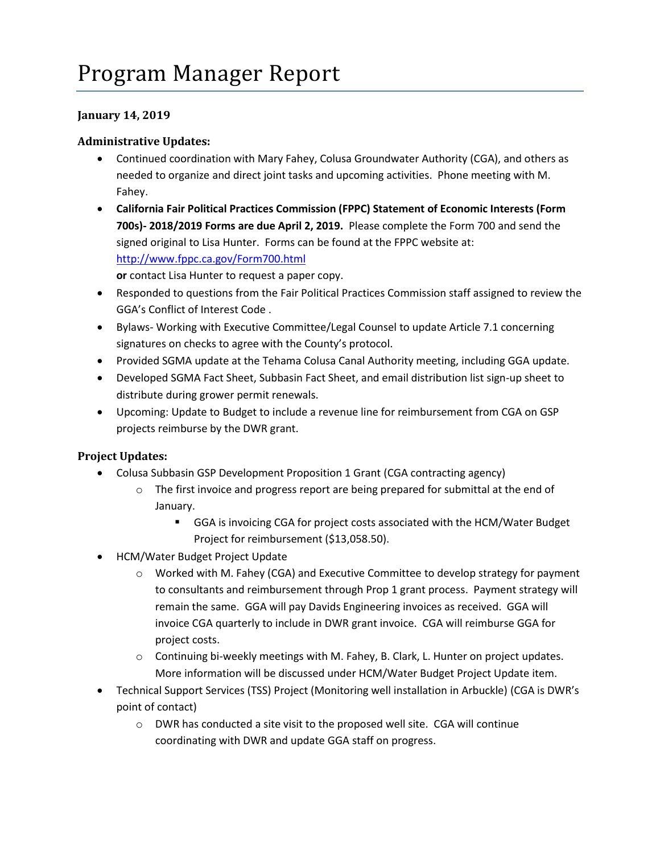## **January 14, 2019**

## **Administrative Updates:**

- Continued coordination with Mary Fahey, Colusa Groundwater Authority (CGA), and others as needed to organize and direct joint tasks and upcoming activities. Phone meeting with M. Fahey.
- **California Fair Political Practices Commission (FPPC) Statement of Economic Interests (Form 700s)- 2018/2019 Forms are due April 2, 2019.** Please complete the Form 700 and send the signed original to Lisa Hunter. Forms can be found at the FPPC website at: <http://www.fppc.ca.gov/Form700.html>

**or** contact Lisa Hunter to request a paper copy.

- Responded to questions from the Fair Political Practices Commission staff assigned to review the GGA's Conflict of Interest Code .
- Bylaws- Working with Executive Committee/Legal Counsel to update Article 7.1 concerning signatures on checks to agree with the County's protocol.
- Provided SGMA update at the Tehama Colusa Canal Authority meeting, including GGA update.
- Developed SGMA Fact Sheet, Subbasin Fact Sheet, and email distribution list sign-up sheet to distribute during grower permit renewals.
- Upcoming: Update to Budget to include a revenue line for reimbursement from CGA on GSP projects reimburse by the DWR grant.

## **Project Updates:**

- Colusa Subbasin GSP Development Proposition 1 Grant (CGA contracting agency)
	- $\circ$  The first invoice and progress report are being prepared for submittal at the end of January.
		- GGA is invoicing CGA for project costs associated with the HCM/Water Budget Project for reimbursement (\$13,058.50).
- HCM/Water Budget Project Update
	- o Worked with M. Fahey (CGA) and Executive Committee to develop strategy for payment to consultants and reimbursement through Prop 1 grant process. Payment strategy will remain the same. GGA will pay Davids Engineering invoices as received. GGA will invoice CGA quarterly to include in DWR grant invoice. CGA will reimburse GGA for project costs.
	- o Continuing bi-weekly meetings with M. Fahey, B. Clark, L. Hunter on project updates. More information will be discussed under HCM/Water Budget Project Update item.
- Technical Support Services (TSS) Project (Monitoring well installation in Arbuckle) (CGA is DWR's point of contact)
	- o DWR has conducted a site visit to the proposed well site. CGA will continue coordinating with DWR and update GGA staff on progress.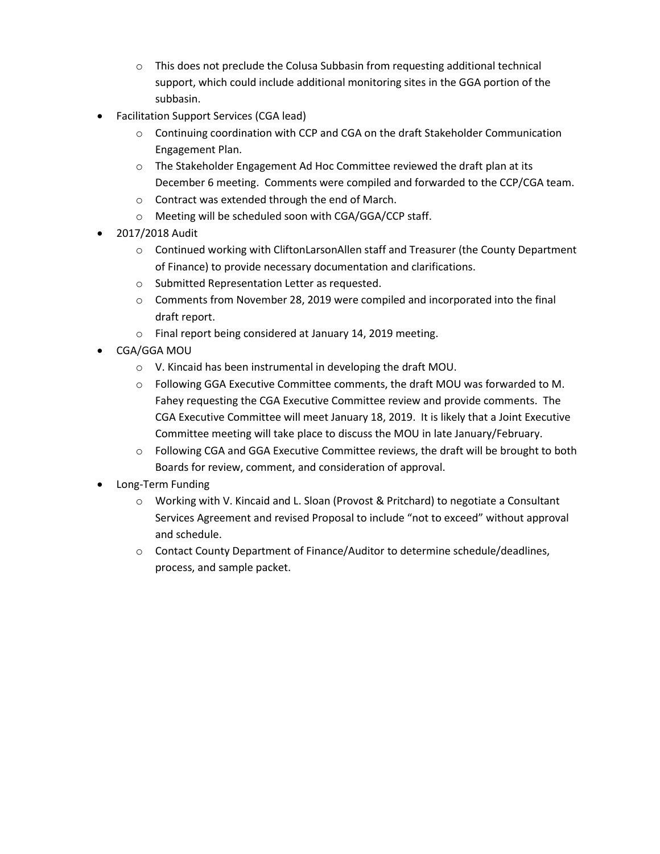- $\circ$  This does not preclude the Colusa Subbasin from requesting additional technical support, which could include additional monitoring sites in the GGA portion of the subbasin.
- Facilitation Support Services (CGA lead)
	- $\circ$  Continuing coordination with CCP and CGA on the draft Stakeholder Communication Engagement Plan.
	- o The Stakeholder Engagement Ad Hoc Committee reviewed the draft plan at its December 6 meeting. Comments were compiled and forwarded to the CCP/CGA team.
	- o Contract was extended through the end of March.
	- o Meeting will be scheduled soon with CGA/GGA/CCP staff.
- 2017/2018 Audit
	- $\circ$  Continued working with CliftonLarsonAllen staff and Treasurer (the County Department of Finance) to provide necessary documentation and clarifications.
	- o Submitted Representation Letter as requested.
	- o Comments from November 28, 2019 were compiled and incorporated into the final draft report.
	- o Final report being considered at January 14, 2019 meeting.
- CGA/GGA MOU
	- o V. Kincaid has been instrumental in developing the draft MOU.
	- o Following GGA Executive Committee comments, the draft MOU was forwarded to M. Fahey requesting the CGA Executive Committee review and provide comments. The CGA Executive Committee will meet January 18, 2019. It is likely that a Joint Executive Committee meeting will take place to discuss the MOU in late January/February.
	- o Following CGA and GGA Executive Committee reviews, the draft will be brought to both Boards for review, comment, and consideration of approval.
- Long-Term Funding
	- o Working with V. Kincaid and L. Sloan (Provost & Pritchard) to negotiate a Consultant Services Agreement and revised Proposal to include "not to exceed" without approval and schedule.
	- o Contact County Department of Finance/Auditor to determine schedule/deadlines, process, and sample packet.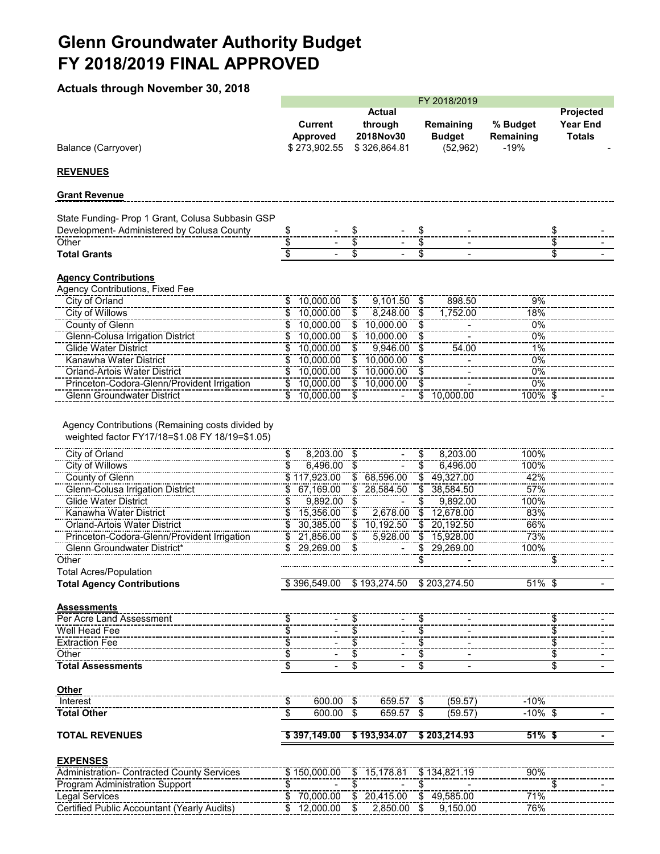## **Glenn Groundwater Authority Budget FY 2018/2019 FINAL APPROVED**

**Actuals through November 30, 2018**

|                                                                                                     | FY 2018/2019                     |                                            |                           |                                                       |                          |                                         |                                 |                                               |
|-----------------------------------------------------------------------------------------------------|----------------------------------|--------------------------------------------|---------------------------|-------------------------------------------------------|--------------------------|-----------------------------------------|---------------------------------|-----------------------------------------------|
| Balance (Carryover)                                                                                 |                                  | <b>Current</b><br>Approved<br>\$273,902.55 |                           | <b>Actual</b><br>through<br>2018Nov30<br>\$326,864.81 |                          | Remaining<br><b>Budget</b><br>(52, 962) | % Budget<br>Remaining<br>$-19%$ | Projected<br><b>Year End</b><br><b>Totals</b> |
| <b>REVENUES</b>                                                                                     |                                  |                                            |                           |                                                       |                          |                                         |                                 |                                               |
| <b>Grant Revenue</b>                                                                                |                                  |                                            |                           |                                                       |                          |                                         |                                 |                                               |
| State Funding- Prop 1 Grant, Colusa Subbasin GSP                                                    |                                  |                                            |                           |                                                       |                          |                                         |                                 |                                               |
| Development- Administered by Colusa County                                                          | $\frac{1}{2}$                    |                                            | \$<br>$\overline{\$}$     |                                                       | \$                       |                                         |                                 | \$                                            |
| Other<br><b>Total Grants</b>                                                                        | \$<br>$\overline{\$}$            | $\blacksquare$                             | \$                        | $\blacksquare$                                        | \$<br>\$                 | $\blacksquare$                          |                                 | \$<br>\$                                      |
| <u> Agency Contributions</u>                                                                        |                                  |                                            |                           |                                                       |                          |                                         |                                 |                                               |
| Agency Contributions, Fixed Fee                                                                     |                                  |                                            |                           |                                                       |                          |                                         |                                 |                                               |
| City of Orland                                                                                      |                                  | $\frac{1}{2}$ 10,000.00                    | \$                        | $9,101.50$ \$                                         |                          | 898.50                                  | 9%                              |                                               |
| City of Willows                                                                                     |                                  | \$10,000.00                                | $\overline{\mathcal{S}}$  | $8,248.00$ \$                                         |                          | 1,752.00                                | 18%                             |                                               |
| County of Glenn                                                                                     |                                  | $\frac{1}{2}$ 10,000.00                    |                           | $\frac{1}{2}$ 10,000.00                               | $\overline{\mathcal{S}}$ |                                         | 0%                              |                                               |
| <b>Glenn-Colusa Irrigation District</b>                                                             |                                  | \$10,000.00                                |                           | $\frac{1}{2}$ 10,000.00                               | \$                       |                                         | 0%                              |                                               |
| <b>Glide Water District</b>                                                                         | \$                               | 10,000.00                                  |                           | 9,946.00                                              | $\frac{1}{2}$            | 54.00                                   | 1%                              |                                               |
| Kanawha Water District                                                                              |                                  | 10,000.00                                  |                           | 10,000.00                                             | $\frac{1}{2}$            |                                         | 0%                              |                                               |
| <b>Orland-Artois Water District</b>                                                                 |                                  | $\frac{1}{2}$ 10,000.00                    |                           | $\overline{\$}$ 10,000.00                             |                          |                                         | 0%                              |                                               |
| Princeton-Codora-Glenn/Provident Irrigation                                                         |                                  | \$10,000.00                                |                           | \$10,000.00                                           | $\overline{\$}$          |                                         | 0%                              |                                               |
| <b>Glenn Groundwater District</b>                                                                   |                                  | \$10,000.00                                | - \$                      |                                                       |                          | $\frac{1}{2}$ 10,000.00                 | 100% \$                         |                                               |
| Agency Contributions (Remaining costs divided by<br>weighted factor FY17/18=\$1.08 FY 18/19=\$1.05) |                                  |                                            |                           |                                                       |                          |                                         |                                 |                                               |
| City of Orland                                                                                      | \$                               | $8,203.00$ \$                              |                           |                                                       | \$                       | 8,203.00                                | 100%                            |                                               |
| <b>City of Willows</b>                                                                              | \$                               | $6,496.00$ \$                              |                           |                                                       | \$                       | 6,496.00                                | 100%                            |                                               |
| County of Glenn<br><b>Glenn-Colusa Irrigation District</b>                                          |                                  | \$117,923.00<br>\$67,169.00                |                           | \$68,596.00<br>\$28,584.50                            | \$                       | \$49,327.00<br>38,584.50                | 42%<br>57%                      |                                               |
| <b>Glide Water District</b>                                                                         | \$                               | 9,892.00                                   | \$                        |                                                       | \$                       | 9,892.00                                | 100%                            |                                               |
| Kanawha Water District                                                                              |                                  | $\frac{1}{2}$ 15,356.00                    | $\overline{\mathfrak{s}}$ | 2,678.00                                              |                          | $\frac{1}{12,678.00}$                   | 83%                             |                                               |
| <b>Orland-Artois Water District</b>                                                                 |                                  | \$30,385.00                                |                           | \$10,192.50                                           |                          | $\frac{1}{20,192.50}$                   | 66%                             |                                               |
| Princeton-Codora-Glenn/Provident Irrigation                                                         |                                  | \$21,856.00                                | \$                        | 5,928.00                                              |                          | \$ 15,928.00                            | 73%                             |                                               |
| Glenn Groundwater District                                                                          | \$                               | 29,269.00                                  | £.                        |                                                       |                          | 29,269.00                               | 100%                            |                                               |
| Other                                                                                               |                                  |                                            |                           |                                                       |                          |                                         |                                 |                                               |
| <b>Total Acres/Population</b>                                                                       |                                  |                                            |                           |                                                       |                          |                                         |                                 |                                               |
| <b>Total Agency Contributions</b>                                                                   |                                  |                                            |                           | \$396,549.00 \$193,274.50 \$203,274.50                |                          |                                         | $51\%$ \$                       |                                               |
|                                                                                                     |                                  |                                            |                           |                                                       |                          |                                         |                                 |                                               |
| <b>Assessments</b>                                                                                  |                                  |                                            |                           |                                                       |                          |                                         |                                 |                                               |
| Per Acre Land Assessment                                                                            | \$<br>\$                         |                                            | $\frac{3}{2}$             |                                                       | \$<br>\$                 |                                         |                                 | $\frac{1}{2}$                                 |
| Well Head Fee                                                                                       |                                  |                                            | \$<br>\$                  |                                                       |                          |                                         |                                 | \$<br>$\overline{\$}$                         |
| <b>Extraction Fee</b><br>Other                                                                      | \$                               |                                            | \$                        |                                                       | \$                       |                                         |                                 | \$                                            |
| <b>Total Assessments</b>                                                                            | \$                               |                                            | \$                        |                                                       | \$<br>\$                 |                                         |                                 | \$                                            |
|                                                                                                     |                                  |                                            |                           |                                                       |                          |                                         |                                 |                                               |
| <b>Other</b>                                                                                        |                                  |                                            |                           |                                                       |                          |                                         |                                 |                                               |
| Interest                                                                                            | \$                               | $600.00$ \$                                |                           | 659.57 \$                                             |                          | (59.57)                                 | $-10%$                          |                                               |
| <b>Total Other</b>                                                                                  | $\overline{\boldsymbol{\theta}}$ | 600.00 \$                                  |                           | 659.57                                                | \$                       | (59.57)                                 | $-10\%$ \$                      | $\overline{\phantom{a}}$                      |
| <b>TOTAL REVENUES</b>                                                                               |                                  |                                            |                           | \$397,149.00 \$193,934.07 \$203,214.93                |                          |                                         | $51\%$ \$                       |                                               |
| <b>EXPENSES</b>                                                                                     |                                  |                                            |                           |                                                       |                          |                                         |                                 |                                               |
| Administration- Contracted County Services                                                          |                                  | \$150,000.00                               |                           | $\overline{\$}$ 15,178.81                             |                          | \$134,821.19                            | 90%                             |                                               |
| <b>Program Administration Support</b>                                                               | \$                               |                                            | \$                        |                                                       | \$                       |                                         |                                 | \$                                            |
| Legal Services                                                                                      |                                  | \$70,000.00                                |                           | \$20,415.00                                           |                          | \$49,585.00                             | 71%                             |                                               |
| Certified Public Accountant (Yearly Audits)                                                         |                                  | \$12,000.00                                | \$                        | 2,850.00 \$                                           |                          | 9,150.00                                | 76%                             |                                               |
|                                                                                                     |                                  |                                            |                           |                                                       |                          |                                         |                                 |                                               |